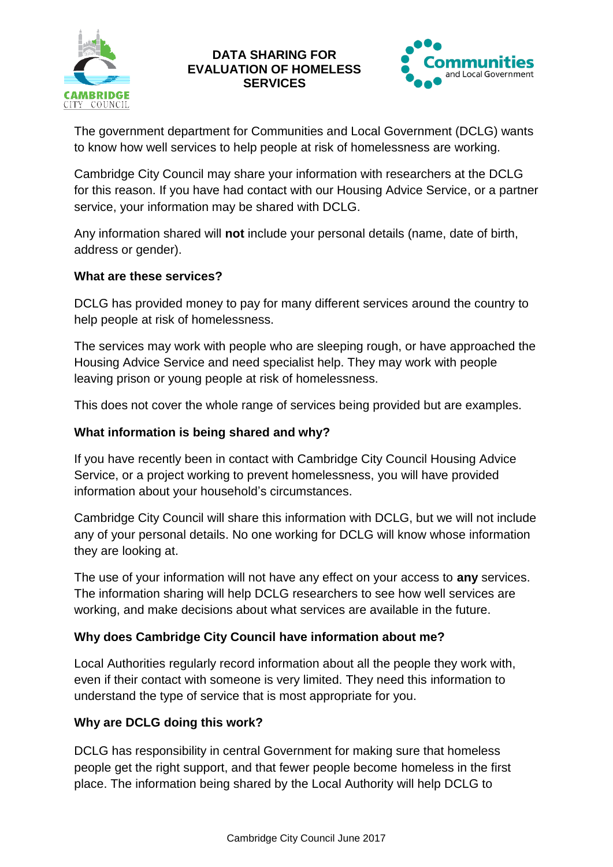

## **DATA SHARING FOR EVALUATION OF HOMELESS SERVICES**



The government department for Communities and Local Government (DCLG) wants to know how well services to help people at risk of homelessness are working.

Cambridge City Council may share your information with researchers at the DCLG for this reason. If you have had contact with our Housing Advice Service, or a partner service, your information may be shared with DCLG.

Any information shared will **not** include your personal details (name, date of birth, address or gender).

### **What are these services?**

DCLG has provided money to pay for many different services around the country to help people at risk of homelessness.

The services may work with people who are sleeping rough, or have approached the Housing Advice Service and need specialist help. They may work with people leaving prison or young people at risk of homelessness.

This does not cover the whole range of services being provided but are examples.

#### **What information is being shared and why?**

If you have recently been in contact with Cambridge City Council Housing Advice Service, or a project working to prevent homelessness, you will have provided information about your household's circumstances.

Cambridge City Council will share this information with DCLG, but we will not include any of your personal details. No one working for DCLG will know whose information they are looking at.

The use of your information will not have any effect on your access to **any** services. The information sharing will help DCLG researchers to see how well services are working, and make decisions about what services are available in the future.

### **Why does Cambridge City Council have information about me?**

Local Authorities regularly record information about all the people they work with, even if their contact with someone is very limited. They need this information to understand the type of service that is most appropriate for you.

### **Why are DCLG doing this work?**

DCLG has responsibility in central Government for making sure that homeless people get the right support, and that fewer people become homeless in the first place. The information being shared by the Local Authority will help DCLG to